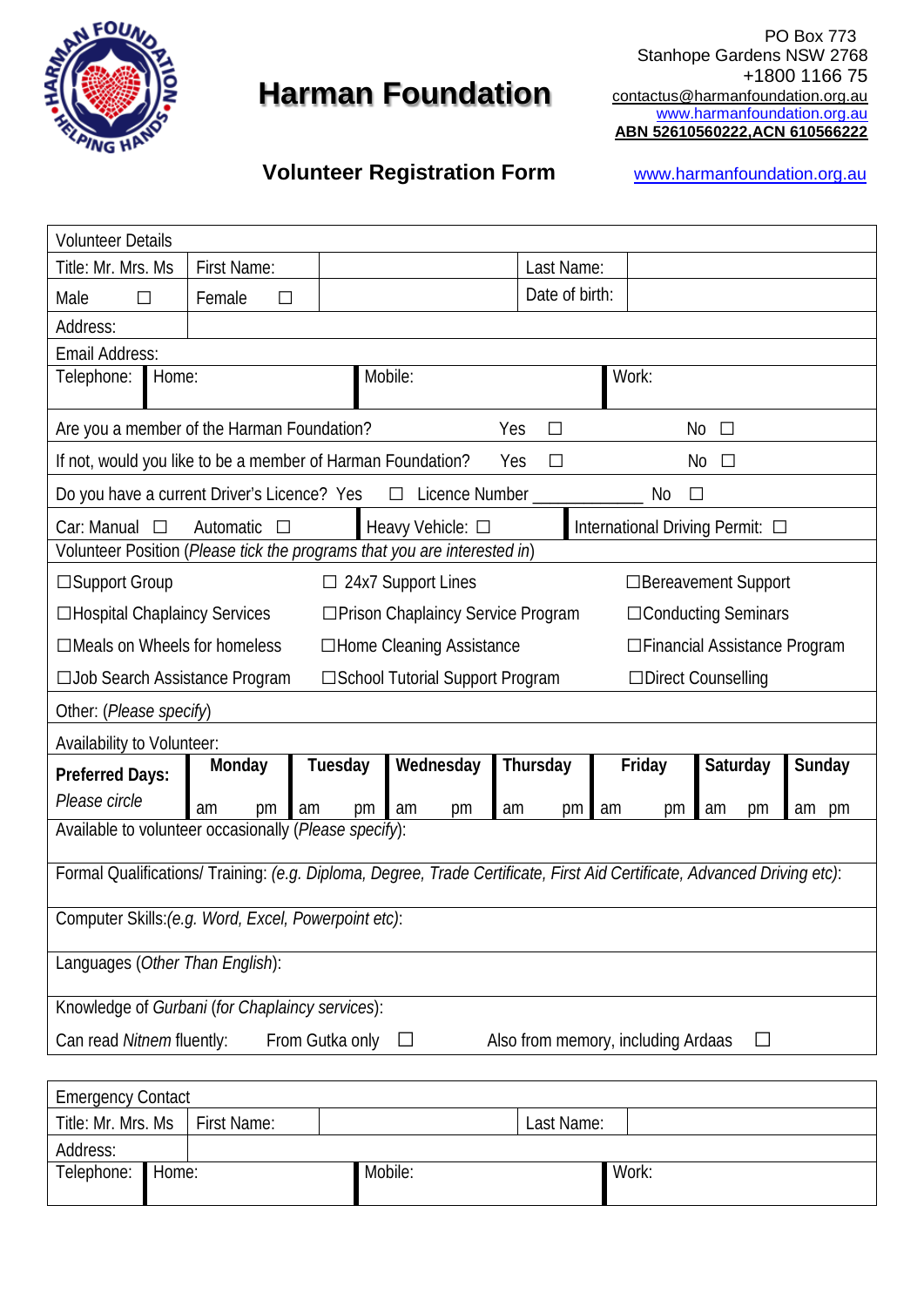

## **Harman Foundation**

 $\mathbb{R}^N$  PO Box 773 Stanhope Gardens NSW 2768 +1800 1166 75 contactus@harmanfoundation.org.au [www.harmanfoundation.org.au](http://www.harmanfoundation.org.au/) **ABN 52610560222,ACN 610566222**

## **Volunteer Registration Form <b>WWW.harmanfoundation.org.au**

| <b>Volunteer Details</b>                                                                                                 |                                                                                               |                                                                          |                |                                  |  |  |
|--------------------------------------------------------------------------------------------------------------------------|-----------------------------------------------------------------------------------------------|--------------------------------------------------------------------------|----------------|----------------------------------|--|--|
| Title: Mr. Mrs. Ms                                                                                                       | <b>First Name:</b>                                                                            | Last Name:                                                               |                |                                  |  |  |
| Male<br>$\Box$                                                                                                           | Female<br>$\Box$                                                                              |                                                                          | Date of birth: |                                  |  |  |
| Address:                                                                                                                 |                                                                                               |                                                                          |                |                                  |  |  |
| Email Address:                                                                                                           |                                                                                               |                                                                          |                |                                  |  |  |
| Telephone:<br>Home:                                                                                                      |                                                                                               | Mobile:                                                                  |                | Work:                            |  |  |
| Are you a member of the Harman Foundation?                                                                               |                                                                                               |                                                                          | Yes<br>$\Box$  | No<br>$\Box$                     |  |  |
|                                                                                                                          |                                                                                               | If not, would you like to be a member of Harman Foundation?              | Yes<br>П       | No<br>П                          |  |  |
| Do you have a current Driver's Licence? Yes                                                                              |                                                                                               | $\Box$ Licence Number                                                    |                | No<br>$\Box$                     |  |  |
| Car: Manual $\Box$                                                                                                       | Automatic                                                                                     | Heavy Vehicle: □                                                         |                | International Driving Permit: □  |  |  |
|                                                                                                                          |                                                                                               | Volunteer Position (Please tick the programs that you are interested in) |                |                                  |  |  |
| □Support Group<br>24x7 Support Lines<br>□ Bereavement Support<br>$\Box$                                                  |                                                                                               |                                                                          |                |                                  |  |  |
|                                                                                                                          | □Hospital Chaplaincy Services<br>□ Prison Chaplaincy Service Program<br>□ Conducting Seminars |                                                                          |                |                                  |  |  |
| $\Box$ Meals on Wheels for homeless<br>□Home Cleaning Assistance<br>□Financial Assistance Program                        |                                                                                               |                                                                          |                |                                  |  |  |
| □ School Tutorial Support Program<br>□Direct Counselling<br>□ Job Search Assistance Program                              |                                                                                               |                                                                          |                |                                  |  |  |
| Other: (Please specify)                                                                                                  |                                                                                               |                                                                          |                |                                  |  |  |
| Availability to Volunteer:                                                                                               |                                                                                               |                                                                          |                |                                  |  |  |
| <b>Preferred Days:</b>                                                                                                   | Monday                                                                                        | Wednesday<br>Tuesday                                                     | Thursday       | Friday<br>Sunday<br>Saturday     |  |  |
| Please circle                                                                                                            | am<br>pm<br>am                                                                                | am<br>pm<br>pm                                                           | am<br>pm       | am<br>am<br>pm<br>pm<br>pm<br>am |  |  |
| Available to volunteer occasionally (Please specify):                                                                    |                                                                                               |                                                                          |                |                                  |  |  |
| Formal Qualifications/ Training: (e.g. Diploma, Degree, Trade Certificate, First Aid Certificate, Advanced Driving etc): |                                                                                               |                                                                          |                |                                  |  |  |
| Computer Skills: (e.g. Word, Excel, Powerpoint etc):                                                                     |                                                                                               |                                                                          |                |                                  |  |  |
| Languages (Other Than English):                                                                                          |                                                                                               |                                                                          |                |                                  |  |  |
| Knowledge of Gurbani (for Chaplaincy services):                                                                          |                                                                                               |                                                                          |                |                                  |  |  |
| Can read Nitnem fluently:<br>From Gutka only<br>Also from memory, including Ardaas                                       |                                                                                               |                                                                          |                |                                  |  |  |
|                                                                                                                          |                                                                                               |                                                                          |                |                                  |  |  |
| Emergency Contact                                                                                                        |                                                                                               |                                                                          |                |                                  |  |  |

| <b>Emergency Contact</b>         |  |         |  |            |  |
|----------------------------------|--|---------|--|------------|--|
| Title: Mr. Mrs. Ms   First Name: |  |         |  | Last Name: |  |
| Address:                         |  |         |  |            |  |
| Telephone: Home:                 |  | Mobile: |  | Work:      |  |
|                                  |  |         |  |            |  |